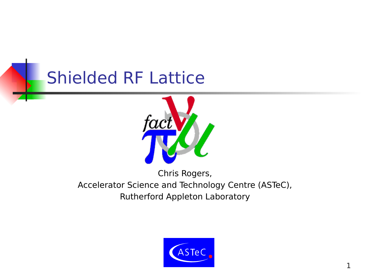#### Shielded RF Lattice



#### Chris Rogers, Accelerator Science and Technology Centre (ASTeC), Rutherford Appleton Laboratory

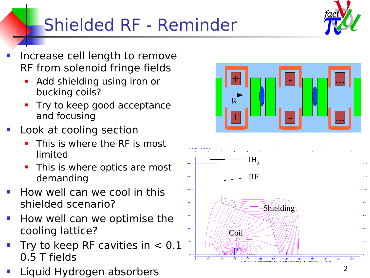# Shielded RF - Reminder



- Increase cell length to remove RF from solenoid fringe fields
	- **Add shielding using iron or** bucking coils?
	- **Try to keep good acceptance** and focusing
- Look at cooling section
	- This is where the RF is most limited
	- This is where optics are most demanding
- How well can we cool in this shielded scenario?
- How well can we optimise the cooling lattice?
- Try to keep RF cavities in  $< \theta.1$ 0.5 T fields
- Liquid Hydrogen absorbers



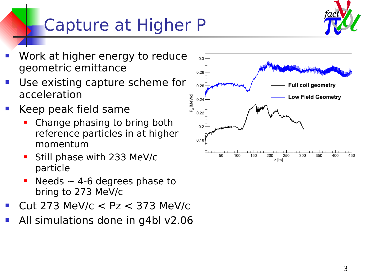## Capture at Higher P



- Work at higher energy to reduce geometric emittance
- Use existing capture scheme for acceleration
- Keep peak field same
	- Change phasing to bring both reference particles in at higher momentum
	- Still phase with 233 MeV/c particle
	- Needs  $\sim$  4-6 degrees phase to bring to 273 MeV/c
- Cut 273 MeV/c < Pz < 373 MeV/c
- All simulations done in g4bl v2.06

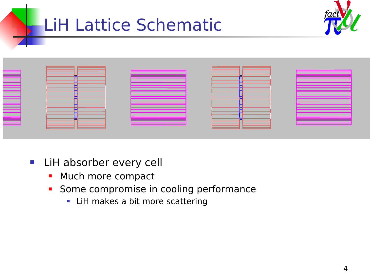#### LiH Lattice Schematic





- **LiH absorber every cell** 
	- Much more compact
	- **Some compromise in cooling performance** 
		- **LiH makes a bit more scattering**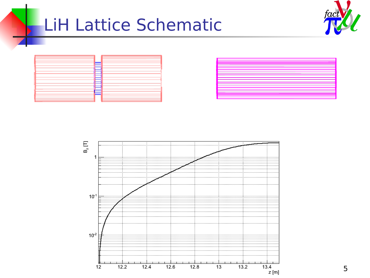#### LiH Lattice Schematic







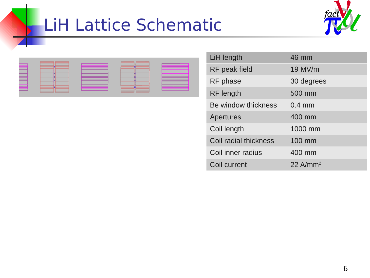#### LiH Lattice Schematic





| LiH length            | 46 mm                |
|-----------------------|----------------------|
| RF peak field         | 19 MV/m              |
| RF phase              | 30 degrees           |
| <b>RF</b> length      | 500 mm               |
| Be window thickness   | $0.4$ mm             |
| <b>Apertures</b>      | 400 mm               |
| Coil length           | 1000 mm              |
| Coil radial thickness | 100 mm               |
| Coil inner radius     | 400 mm               |
| Coil current          | 22 A/mm <sup>2</sup> |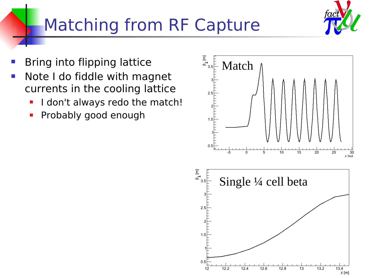#### Matching from RF Capture

- Bring into flipping lattice
- **Note I do fiddle with magnet** currents in the cooling lattice
	- I don't always redo the match!
	- Probably good enough



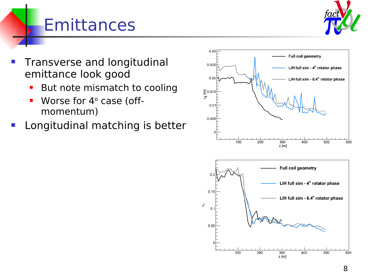

## **Emittances**

- Transverse and longitudinal emittance look good
	- **But note mismatch to cooling**
	- Worse for 4° case (offmomentum)
- Longitudinal matching is better

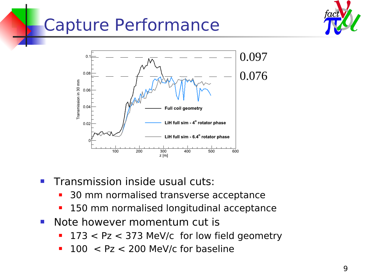## Capture Performance





- **Transmission inside usual cuts:** 
	- 30 mm normalised transverse acceptance
	- **150 mm normalised longitudinal acceptance**
- **Note however momentum cut is** 
	- 173 < Pz < 373 MeV/c for low field geometry
	- $100 < Pz < 200$  MeV/c for baseline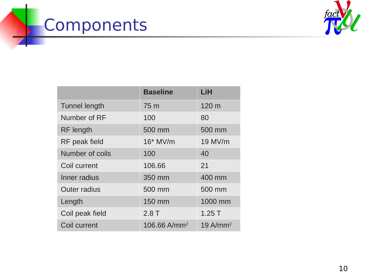# Components



|                      | <b>Baseline</b>          | LiH                    |
|----------------------|--------------------------|------------------------|
| <b>Tunnel length</b> | 75 m                     | 120 m                  |
| Number of RF         | 100                      | 80                     |
| <b>RF</b> length     | 500 mm                   | 500 mm                 |
| RF peak field        | $16*$ MV/m               | 19 MV/m                |
| Number of coils      | 100                      | 40                     |
| Coil current         | 106.66                   | 21                     |
| Inner radius         | 350 mm                   | 400 mm                 |
| <b>Outer radius</b>  | 500 mm                   | 500 mm                 |
| Length               | 150 mm                   | 1000 mm                |
| Coil peak field      | 2.8T                     | 1.25T                  |
| Coil current         | 106.66 A/mm <sup>2</sup> | $19$ A/mm <sup>2</sup> |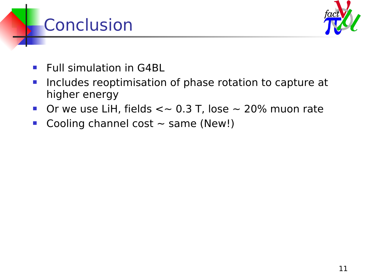#### **Conclusion**



- **Full simulation in G4BL**
- **Includes reoptimisation of phase rotation to capture at** higher energy
- Or we use LiH, fields  $\lt\sim 0.3$  T, lose  $\sim 20\%$  muon rate
- Cooling channel cost  $\sim$  same (New!)